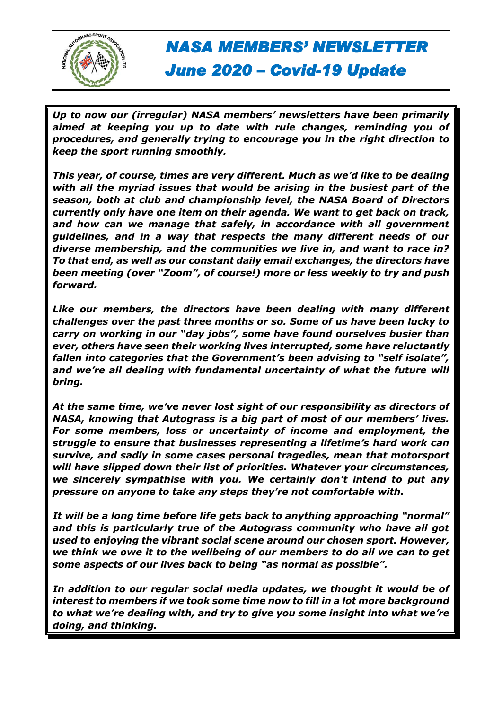

*Up to now our (irregular) NASA members' newsletters have been primarily aimed at keeping you up to date with rule changes, reminding you of procedures, and generally trying to encourage you in the right direction to keep the sport running smoothly.*

*This year, of course, times are very different. Much as we'd like to be dealing with all the myriad issues that would be arising in the busiest part of the season, both at club and championship level, the NASA Board of Directors currently only have one item on their agenda. We want to get back on track, and how can we manage that safely, in accordance with all government guidelines, and in a way that respects the many different needs of our diverse membership, and the communities we live in, and want to race in? To that end, as well as our constant daily email exchanges, the directors have been meeting (over "Zoom", of course!) more or less weekly to try and push forward.*

*Like our members, the directors have been dealing with many different challenges over the past three months or so. Some of us have been lucky to carry on working in our "day jobs", some have found ourselves busier than ever, others have seen their working lives interrupted, some have reluctantly fallen into categories that the Government's been advising to "self isolate",*  and we're all dealing with fundamental uncertainty of what the future will *bring.*

*At the same time, we've never lost sight of our responsibility as directors of NASA, knowing that Autograss is a big part of most of our members' lives. For some members, loss or uncertainty of income and employment, the struggle to ensure that businesses representing a lifetime's hard work can survive, and sadly in some cases personal tragedies, mean that motorsport will have slipped down their list of priorities. Whatever your circumstances, we sincerely sympathise with you. We certainly don't intend to put any pressure on anyone to take any steps they're not comfortable with.*

*It will be a long time before life gets back to anything approaching "normal" and this is particularly true of the Autograss community who have all got used to enjoying the vibrant social scene around our chosen sport. However, we think we owe it to the wellbeing of our members to do all we can to get some aspects of our lives back to being "as normal as possible".*

*In addition to our regular social media updates, we thought it would be of interest to members if we took some time now to fill in a lot more background to what we're dealing with, and try to give you some insight into what we're doing, and thinking.*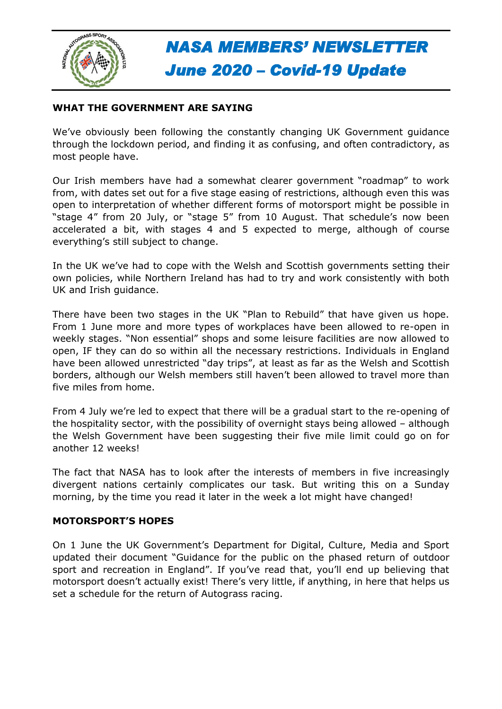

#### **WHAT THE GOVERNMENT ARE SAYING**

We've obviously been following the constantly changing UK Government guidance through the lockdown period, and finding it as confusing, and often contradictory, as most people have.

Our Irish members have had a somewhat clearer government "roadmap" to work from, with dates set out for a five stage easing of restrictions, although even this was open to interpretation of whether different forms of motorsport might be possible in "stage 4" from 20 July, or "stage 5" from 10 August. That schedule's now been accelerated a bit, with stages 4 and 5 expected to merge, although of course everything's still subject to change.

In the UK we've had to cope with the Welsh and Scottish governments setting their own policies, while Northern Ireland has had to try and work consistently with both UK and Irish guidance.

There have been two stages in the UK "Plan to Rebuild" that have given us hope. From 1 June more and more types of workplaces have been allowed to re-open in weekly stages. "Non essential" shops and some leisure facilities are now allowed to open, IF they can do so within all the necessary restrictions. Individuals in England have been allowed unrestricted "day trips", at least as far as the Welsh and Scottish borders, although our Welsh members still haven't been allowed to travel more than five miles from home.

From 4 July we're led to expect that there will be a gradual start to the re-opening of the hospitality sector, with the possibility of overnight stays being allowed – although the Welsh Government have been suggesting their five mile limit could go on for another 12 weeks!

The fact that NASA has to look after the interests of members in five increasingly divergent nations certainly complicates our task. But writing this on a Sunday morning, by the time you read it later in the week a lot might have changed!

#### **MOTORSPORT'S HOPES**

On 1 June the UK Government's Department for Digital, Culture, Media and Sport updated their document "Guidance for the public on the phased return of outdoor sport and recreation in England". If you've read that, you'll end up believing that motorsport doesn't actually exist! There's very little, if anything, in here that helps us set a schedule for the return of Autograss racing.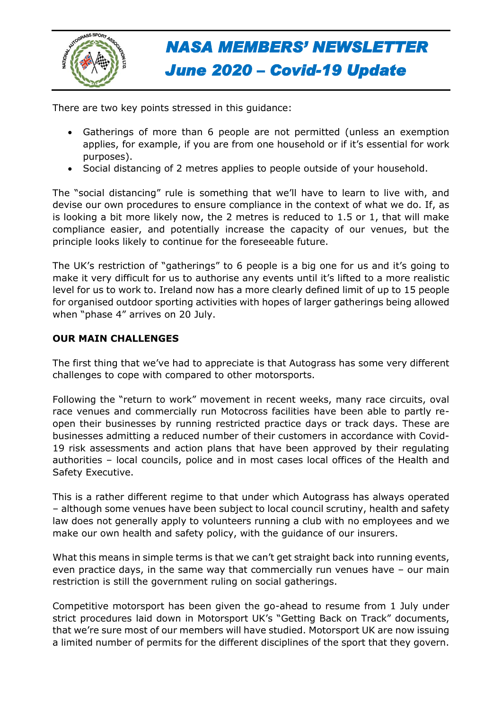

There are two key points stressed in this guidance:

- Gatherings of more than 6 people are not permitted (unless an exemption applies, for example, if you are from one household or if it's essential for work purposes).
- Social distancing of 2 metres applies to people outside of your household.

The "social distancing" rule is something that we'll have to learn to live with, and devise our own procedures to ensure compliance in the context of what we do. If, as is looking a bit more likely now, the 2 metres is reduced to 1.5 or 1, that will make compliance easier, and potentially increase the capacity of our venues, but the principle looks likely to continue for the foreseeable future.

The UK's restriction of "gatherings" to 6 people is a big one for us and it's going to make it very difficult for us to authorise any events until it's lifted to a more realistic level for us to work to. Ireland now has a more clearly defined limit of up to 15 people for organised outdoor sporting activities with hopes of larger gatherings being allowed when "phase 4" arrives on 20 July.

### **OUR MAIN CHALLENGES**

The first thing that we've had to appreciate is that Autograss has some very different challenges to cope with compared to other motorsports.

Following the "return to work" movement in recent weeks, many race circuits, oval race venues and commercially run Motocross facilities have been able to partly reopen their businesses by running restricted practice days or track days. These are businesses admitting a reduced number of their customers in accordance with Covid-19 risk assessments and action plans that have been approved by their regulating authorities – local councils, police and in most cases local offices of the Health and Safety Executive.

This is a rather different regime to that under which Autograss has always operated – although some venues have been subject to local council scrutiny, health and safety law does not generally apply to volunteers running a club with no employees and we make our own health and safety policy, with the guidance of our insurers.

What this means in simple terms is that we can't get straight back into running events, even practice days, in the same way that commercially run venues have – our main restriction is still the government ruling on social gatherings.

Competitive motorsport has been given the go-ahead to resume from 1 July under strict procedures laid down in Motorsport UK's "Getting Back on Track" documents, that we're sure most of our members will have studied. Motorsport UK are now issuing a limited number of permits for the different disciplines of the sport that they govern.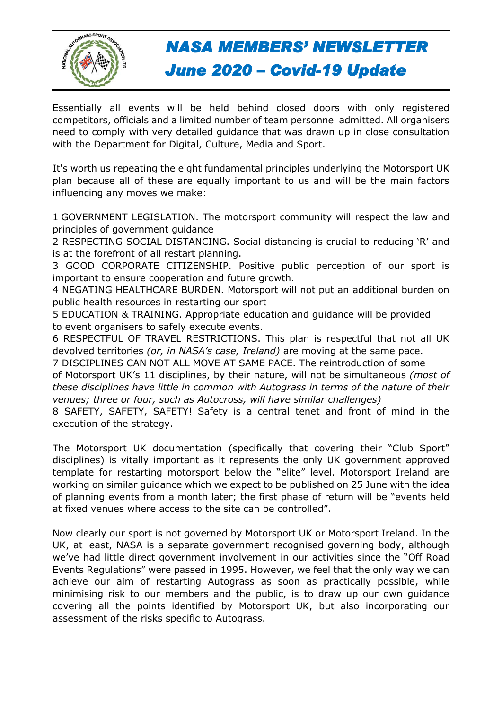

Essentially all events will be held behind closed doors with only registered competitors, officials and a limited number of team personnel admitted. All organisers need to comply with very detailed guidance that was drawn up in close consultation with the Department for Digital, Culture, Media and Sport.

It's worth us repeating the eight fundamental principles underlying the Motorsport UK plan because all of these are equally important to us and will be the main factors influencing any moves we make:

1 GOVERNMENT LEGISLATION. The motorsport community will respect the law and principles of government guidance

2 RESPECTING SOCIAL DISTANCING. Social distancing is crucial to reducing 'R' and is at the forefront of all restart planning.

3 GOOD CORPORATE CITIZENSHIP. Positive public perception of our sport is important to ensure cooperation and future growth.

4 NEGATING HEALTHCARE BURDEN. Motorsport will not put an additional burden on public health resources in restarting our sport

5 EDUCATION & TRAINING. Appropriate education and guidance will be provided to event organisers to safely execute events.

6 RESPECTFUL OF TRAVEL RESTRICTIONS. This plan is respectful that not all UK devolved territories *(or, in NASA's case, Ireland)* are moving at the same pace.

7 DISCIPLINES CAN NOT ALL MOVE AT SAME PACE. The reintroduction of some of Motorsport UK's 11 disciplines, by their nature, will not be simultaneous *(most of these disciplines have little in common with Autograss in terms of the nature of their venues; three or four, such as Autocross, will have similar challenges)*

8 SAFETY, SAFETY, SAFETY! Safety is a central tenet and front of mind in the execution of the strategy.

The Motorsport UK documentation (specifically that covering their "Club Sport" disciplines) is vitally important as it represents the only UK government approved template for restarting motorsport below the "elite" level. Motorsport Ireland are working on similar guidance which we expect to be published on 25 June with the idea of planning events from a month later; the first phase of return will be "events held at fixed venues where access to the site can be controlled".

Now clearly our sport is not governed by Motorsport UK or Motorsport Ireland. In the UK, at least, NASA is a separate government recognised governing body, although we've had little direct government involvement in our activities since the "Off Road Events Regulations" were passed in 1995. However, we feel that the only way we can achieve our aim of restarting Autograss as soon as practically possible, while minimising risk to our members and the public, is to draw up our own guidance covering all the points identified by Motorsport UK, but also incorporating our assessment of the risks specific to Autograss.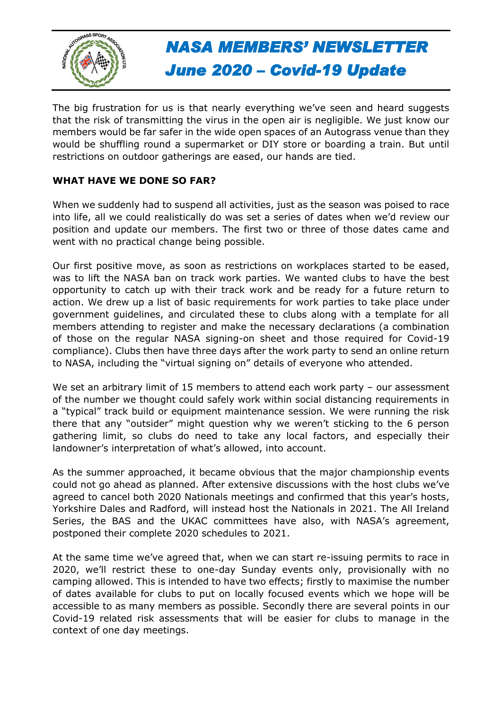

The big frustration for us is that nearly everything we've seen and heard suggests that the risk of transmitting the virus in the open air is negligible. We just know our members would be far safer in the wide open spaces of an Autograss venue than they would be shuffling round a supermarket or DIY store or boarding a train. But until restrictions on outdoor gatherings are eased, our hands are tied.

### **WHAT HAVE WE DONE SO FAR?**

When we suddenly had to suspend all activities, just as the season was poised to race into life, all we could realistically do was set a series of dates when we'd review our position and update our members. The first two or three of those dates came and went with no practical change being possible.

Our first positive move, as soon as restrictions on workplaces started to be eased, was to lift the NASA ban on track work parties. We wanted clubs to have the best opportunity to catch up with their track work and be ready for a future return to action. We drew up a list of basic requirements for work parties to take place under government guidelines, and circulated these to clubs along with a template for all members attending to register and make the necessary declarations (a combination of those on the regular NASA signing-on sheet and those required for Covid-19 compliance). Clubs then have three days after the work party to send an online return to NASA, including the "virtual signing on" details of everyone who attended.

We set an arbitrary limit of 15 members to attend each work party - our assessment of the number we thought could safely work within social distancing requirements in a "typical" track build or equipment maintenance session. We were running the risk there that any "outsider" might question why we weren't sticking to the 6 person gathering limit, so clubs do need to take any local factors, and especially their landowner's interpretation of what's allowed, into account.

As the summer approached, it became obvious that the major championship events could not go ahead as planned. After extensive discussions with the host clubs we've agreed to cancel both 2020 Nationals meetings and confirmed that this year's hosts, Yorkshire Dales and Radford, will instead host the Nationals in 2021. The All Ireland Series, the BAS and the UKAC committees have also, with NASA's agreement, postponed their complete 2020 schedules to 2021.

At the same time we've agreed that, when we can start re-issuing permits to race in 2020, we'll restrict these to one-day Sunday events only, provisionally with no camping allowed. This is intended to have two effects; firstly to maximise the number of dates available for clubs to put on locally focused events which we hope will be accessible to as many members as possible. Secondly there are several points in our Covid-19 related risk assessments that will be easier for clubs to manage in the context of one day meetings.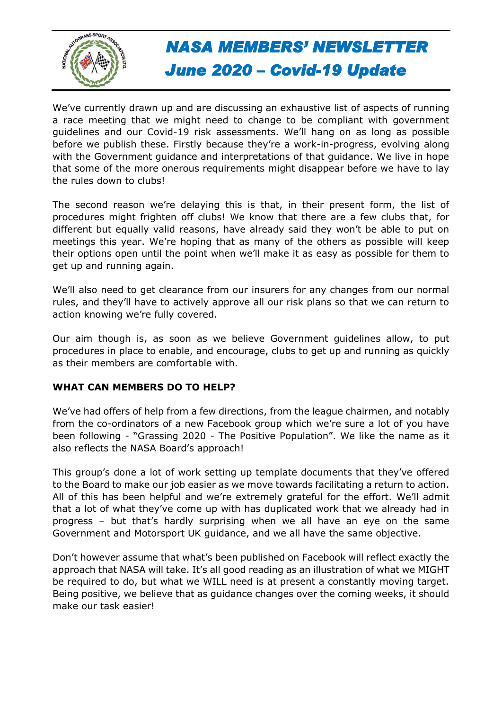

We've currently drawn up and are discussing an exhaustive list of aspects of running a race meeting that we might need to change to be compliant with government guidelines and our Covid-19 risk assessments. We'll hang on as long as possible before we publish these. Firstly because they're a work-in-progress, evolving along with the Government guidance and interpretations of that guidance. We live in hope that some of the more onerous requirements might disappear before we have to lay the rules down to clubs!

The second reason we're delaying this is that, in their present form, the list of procedures might frighten off clubs! We know that there are a few clubs that, for different but equally valid reasons, have already said they won't be able to put on meetings this year. We're hoping that as many of the others as possible will keep their options open until the point when we'll make it as easy as possible for them to get up and running again.

We'll also need to get clearance from our insurers for any changes from our normal rules, and they'll have to actively approve all our risk plans so that we can return to action knowing we're fully covered.

Our aim though is, as soon as we believe Government guidelines allow, to put procedures in place to enable, and encourage, clubs to get up and running as quickly as their members are comfortable with.

### **WHAT CAN MEMBERS DO TO HELP?**

We've had offers of help from a few directions, from the league chairmen, and notably from the co-ordinators of a new Facebook group which we're sure a lot of you have been following - "Grassing 2020 - The Positive Population". We like the name as it also reflects the NASA Board's approach!

This group's done a lot of work setting up template documents that they've offered to the Board to make our job easier as we move towards facilitating a return to action. All of this has been helpful and we're extremely grateful for the effort. We'll admit that a lot of what they've come up with has duplicated work that we already had in progress – but that's hardly surprising when we all have an eye on the same Government and Motorsport UK guidance, and we all have the same objective.

Don't however assume that what's been published on Facebook will reflect exactly the approach that NASA will take. It's all good reading as an illustration of what we MIGHT be required to do, but what we WILL need is at present a constantly moving target. Being positive, we believe that as guidance changes over the coming weeks, it should make our task easier!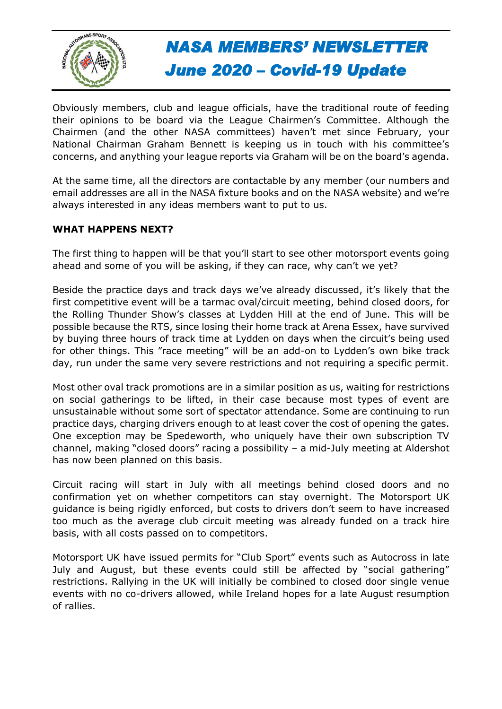

Obviously members, club and league officials, have the traditional route of feeding their opinions to be board via the League Chairmen's Committee. Although the Chairmen (and the other NASA committees) haven't met since February, your National Chairman Graham Bennett is keeping us in touch with his committee's concerns, and anything your league reports via Graham will be on the board's agenda.

At the same time, all the directors are contactable by any member (our numbers and email addresses are all in the NASA fixture books and on the NASA website) and we're always interested in any ideas members want to put to us.

#### **WHAT HAPPENS NEXT?**

The first thing to happen will be that you'll start to see other motorsport events going ahead and some of you will be asking, if they can race, why can't we yet?

Beside the practice days and track days we've already discussed, it's likely that the first competitive event will be a tarmac oval/circuit meeting, behind closed doors, for the Rolling Thunder Show's classes at Lydden Hill at the end of June. This will be possible because the RTS, since losing their home track at Arena Essex, have survived by buying three hours of track time at Lydden on days when the circuit's being used for other things. This "race meeting" will be an add-on to Lydden's own bike track day, run under the same very severe restrictions and not requiring a specific permit.

Most other oval track promotions are in a similar position as us, waiting for restrictions on social gatherings to be lifted, in their case because most types of event are unsustainable without some sort of spectator attendance. Some are continuing to run practice days, charging drivers enough to at least cover the cost of opening the gates. One exception may be Spedeworth, who uniquely have their own subscription TV channel, making "closed doors" racing a possibility – a mid-July meeting at Aldershot has now been planned on this basis.

Circuit racing will start in July with all meetings behind closed doors and no confirmation yet on whether competitors can stay overnight. The Motorsport UK guidance is being rigidly enforced, but costs to drivers don't seem to have increased too much as the average club circuit meeting was already funded on a track hire basis, with all costs passed on to competitors.

Motorsport UK have issued permits for "Club Sport" events such as Autocross in late July and August, but these events could still be affected by "social gathering" restrictions. Rallying in the UK will initially be combined to closed door single venue events with no co-drivers allowed, while Ireland hopes for a late August resumption of rallies.